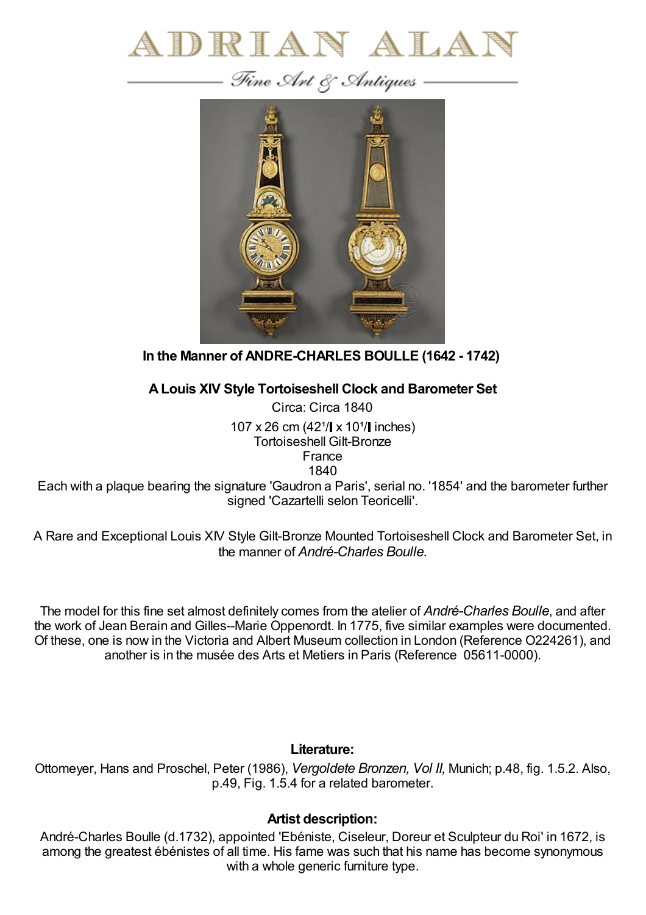



## **In the Manner of ANDRE-CHARLES BOULLE (1642 - 1742)**

## **ALouis XIV Style Tortoiseshell Clock and Barometer Set**

Circa: Circa 1840 107 x 26 cm  $(42^{1}/\mathbf{x} 10^{1}/\mathbf{x})$  inches) Tortoiseshell Gilt-Bronze France 1840

Each with a plaque bearing the signature 'Gaudron a Paris', serial no. '1854' and the barometer further signed 'Cazartelli selon Teoricelli'.

A Rare and Exceptional Louis XIV Style Gilt-Bronze Mounted Tortoiseshell Clock and Barometer Set, in the manner of *André-Charles Boulle.*

The model for this fine set almost definitely comes from the atelier of *André-Charles Boulle*, and after the work of Jean Berain and Gilles--Marie Oppenordt. In 1775, five similar examples were documented. Of these, one is now in the Victoria and Albert Museum collection in London (Reference O224261), and another is in the musée des Arts et Metiers in Paris (Reference 05611-0000).

## **Literature:**

Ottomeyer, Hans and Proschel, Peter (1986), *Vergoldete Bronzen, Vol II,* Munich; p.48, fig. 1.5.2. Also, p.49, Fig. 1.5.4 for a related barometer.

## **Artist description:**

André-Charles Boulle (d.1732), appointed 'Ebéniste, Ciseleur, Doreur et Sculpteur du Roi' in 1672, is among the greatest ébénistes of all time. His fame was such that his name has become synonymous with a whole generic furniture type.